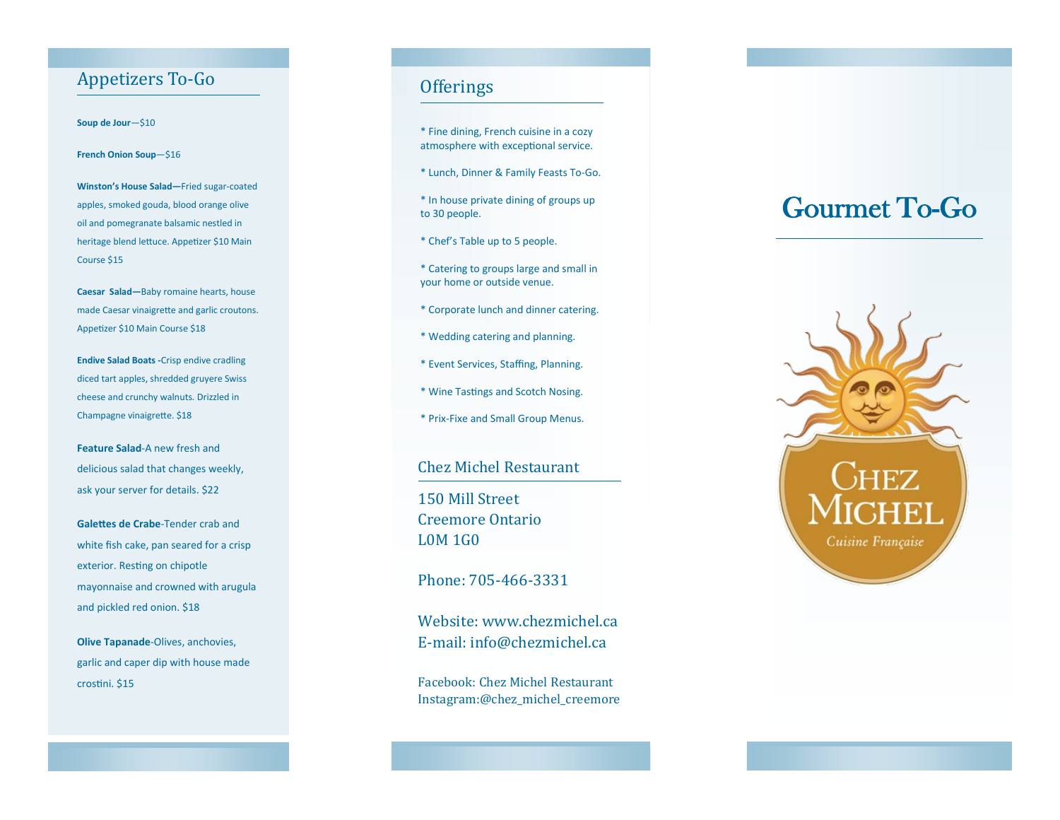# Appetizers To-Go

**Soup de Jour**—\$10

**French Onion Soup**—\$16

**Winston's House Salad—**Fried sugar-coated apples, smoked gouda, blood orange olive oil and pomegranate balsamic nestled in heritage blend lettuce. Appetizer \$10 Main Course \$15

**Caesar Salad—**Baby romaine hearts, house made Caesar vinaigrette and garlic croutons. Appetizer \$10 Main Course \$18

**Endive Salad Boats -**Crisp endive cradling diced tart apples, shredded gruyere Swiss cheese and crunchy walnuts. Drizzled in Champagne vinaigrette. \$18

**Feature Salad**-A new fresh and delicious salad that changes weekly, ask your server for details. \$22

**Galettes de Crabe**-Tender crab and white fish cake, pan seared for a crisp exterior. Resting on chipotle mayonnaise and crowned with arugula and pickled red onion. \$18

**Olive Tapanade**-Olives, anchovies, garlic and caper dip with house made crostini. \$15

## **Offerings**

\* Fine dining, French cuisine in a cozy atmosphere with exceptional service.

\* Lunch, Dinner & Family Feasts To-Go.

\* In house private dining of groups up to 30 people.

\* Chef's Table up to 5 people.

\* Catering to groups large and small in your home or outside venue.

\* Corporate lunch and dinner catering.

\* Wedding catering and planning.

\* Event Services, Staffing, Planning.

\* Wine Tastings and Scotch Nosing.

\* Prix-Fixe and Small Group Menus.

Chez Michel Restaurant

150 Mill Street Creemore Ontario L0M 1G0

Phone: 705-466-3331

Website: www.chezmichel.ca E-mail: info@chezmichel.ca

Facebook: Chez Michel Restaurant Instagram:@chez\_michel\_creemore

# Gourmet To-Go